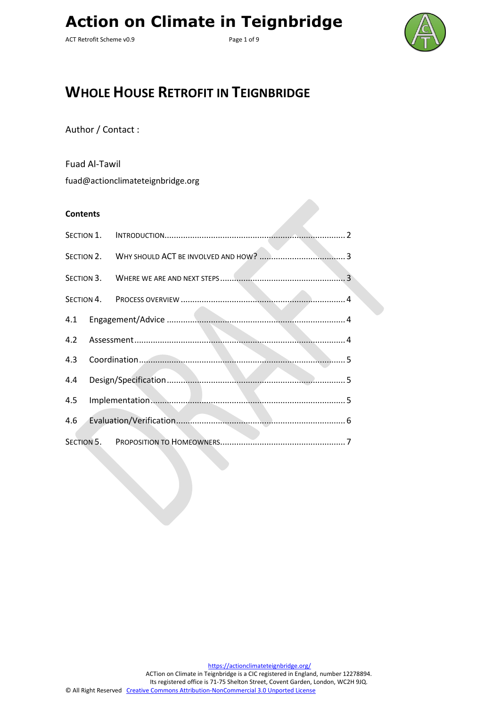ACT Retrofit Scheme v0.9 Page 1 of 9



## **WHOLE HOUSE RETROFIT IN TEIGNBRIDGE**

Author / Contact :

Fuad Al-Tawil

fuad@actionclimateteignbridge.org

#### **Contents**

| 4.2 |  |  |  |
|-----|--|--|--|
| 4.3 |  |  |  |
| 4.4 |  |  |  |
| 4.5 |  |  |  |
| 4.6 |  |  |  |
|     |  |  |  |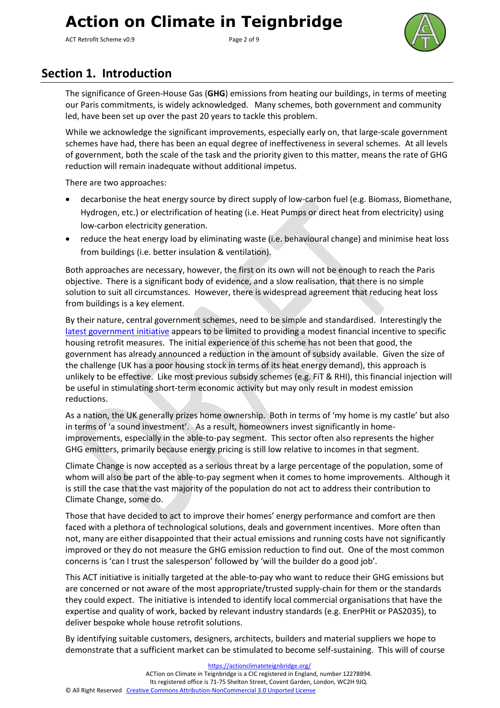ACT Retrofit Scheme v0.9 Page 2 of 9



### <span id="page-1-0"></span>**Section 1. Introduction**

The significance of Green-House Gas (**GHG**) emissions from heating our buildings, in terms of meeting our Paris commitments, is widely acknowledged. Many schemes, both government and community led, have been set up over the past 20 years to tackle this problem.

While we acknowledge the significant improvements, especially early on, that large-scale government schemes have had, there has been an equal degree of ineffectiveness in several schemes. At all levels of government, both the scale of the task and the priority given to this matter, means the rate of GHG reduction will remain inadequate without additional impetus.

There are two approaches:

- decarbonise the heat energy source by direct supply of low-carbon fuel (e.g. Biomass, Biomethane, Hydrogen, etc.) or electrification of heating (i.e. Heat Pumps or direct heat from electricity) using low-carbon electricity generation.
- reduce the heat energy load by eliminating waste (i.e. behavioural change) and minimise heat loss from buildings (i.e. better insulation & ventilation).

Both approaches are necessary, however, the first on its own will not be enough to reach the Paris objective. There is a significant body of evidence, and a slow realisation, that there is no simple solution to suit all circumstances. However, there is widespread agreement that reducing heat loss from buildings is a key element.

By their nature, central government schemes, need to be simple and standardised. Interestingly the [latest government](https://www.architectsjournal.co.uk/news/chancellor-to-unveil-3-billion-retrofit-funding/10047507.article) initiative appears to be limited to providing a modest financial incentive to specific housing retrofit measures. The initial experience of this scheme has not been that good, the government has already announced a reduction in the amount of subsidy available. Given the size of the challenge (UK has a poor housing stock in terms of its heat energy demand), this approach is unlikely to be effective. Like most previous subsidy schemes (e.g. FiT & RHI), this financial injection will be useful in stimulating short-term economic activity but may only result in modest emission reductions.

As a nation, the UK generally prizes home ownership. Both in terms of 'my home is my castle' but also in terms of 'a sound investment'. As a result, homeowners invest significantly in homeimprovements, especially in the able-to-pay segment. This sector often also represents the higher GHG emitters, primarily because energy pricing is still low relative to incomes in that segment.

Climate Change is now accepted as a serious threat by a large percentage of the population, some of whom will also be part of the able-to-pay segment when it comes to home improvements. Although it is still the case that the vast majority of the population do not act to address their contribution to Climate Change, some do.

Those that have decided to act to improve their homes' energy performance and comfort are then faced with a plethora of technological solutions, deals and government incentives. More often than not, many are either disappointed that their actual emissions and running costs have not significantly improved or they do not measure the GHG emission reduction to find out. One of the most common concerns is 'can I trust the salesperson' followed by 'will the builder do a good job'.

This ACT initiative is initially targeted at the able-to-pay who want to reduce their GHG emissions but are concerned or not aware of the most appropriate/trusted supply-chain for them or the standards they could expect. The initiative is intended to identify local commercial organisations that have the expertise and quality of work, backed by relevant industry standards (e.g. EnerPHit or PAS2035), to deliver bespoke whole house retrofit solutions.

By identifying suitable customers, designers, architects, builders and material suppliers we hope to demonstrate that a sufficient market can be stimulated to become self-sustaining. This will of course

<https://actionclimateteignbridge.org/> ACTion on Climate in Teignbridge is a CIC registered in England, number 12278894. Its registered office is 71-75 Shelton Street, Covent Garden, London, WC2H 9JQ. © All Right Reserved [Creative Commons Attribution-NonCommercial 3.0 Unported License](http://creativecommons.org/licenses/by-nc/3.0/)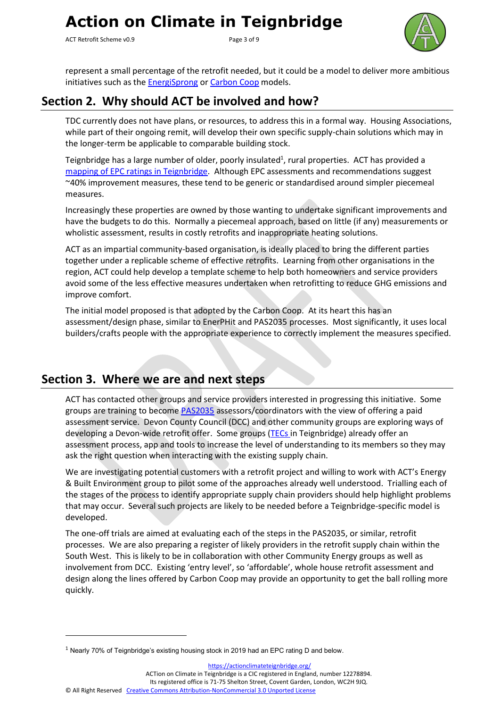ACT Retrofit Scheme v0.9 Page 3 of 9



represent a small percentage of the retrofit needed, but it could be a model to deliver more ambitious initiatives such as the **EnergiSprong o[r Carbon Coop](https://carbon.coop/portfolio/people-powered-retrofit/)** models.

## <span id="page-2-0"></span>**Section 2. Why should ACT be involved and how?**

TDC currently does not have plans, or resources, to address this in a formal way. Housing Associations, while part of their ongoing remit, will develop their own specific supply-chain solutions which may in the longer-term be applicable to comparable building stock.

Teignbridge has a large number of older, poorly insulated<sup>1</sup>, rural properties. ACT has provided a [mapping of EPC ratings in Teignbridge.](https://actionclimateteignbridge.org/index.php/maps-and-data/) Although EPC assessments and recommendations suggest ~40% improvement measures, these tend to be generic or standardised around simpler piecemeal measures.

Increasingly these properties are owned by those wanting to undertake significant improvements and have the budgets to do this. Normally a piecemeal approach, based on little (if any) measurements or wholistic assessment, results in costly retrofits and inappropriate heating solutions.

ACT as an impartial community-based organisation, is ideally placed to bring the different parties together under a replicable scheme of effective retrofits. Learning from other organisations in the region, ACT could help develop a template scheme to help both homeowners and service providers avoid some of the less effective measures undertaken when retrofitting to reduce GHG emissions and improve comfort.

The initial model proposed is that adopted by the Carbon Coop. At its heart this has an assessment/design phase, similar to EnerPHit and PAS2035 processes. Most significantly, it uses local builders/crafts people with the appropriate experience to correctly implement the measures specified.

### <span id="page-2-1"></span>**Section 3. Where we are and next steps**

ACT has contacted other groups and service providers interested in progressing this initiative. Some groups are training to becom[e PAS2035](https://www.retrofitacademy.org/wp-content/uploads/2019/10/PAS-2035.pdf) assessors/coordinators with the view of offering a paid assessment service. Devon County Council (DCC) and other community groups are exploring ways of developing a Devon-wide retrofit offer. Some groups [\(TECs](http://teignenergycommunities.co.uk/) in Teignbridge) already offer an assessment process, app and tools to increase the level of understanding to its members so they may ask the right question when interacting with the existing supply chain.

We are investigating potential customers with a retrofit project and willing to work with ACT's Energy & Built Environment group to pilot some of the approaches already well understood. Trialling each of the stages of the process to identify appropriate supply chain providers should help highlight problems that may occur. Several such projects are likely to be needed before a Teignbridge-specific model is developed.

The one-off trials are aimed at evaluating each of the steps in the PAS2035, or similar, retrofit processes. We are also preparing a register of likely providers in the retrofit supply chain within the South West. This is likely to be in collaboration with other Community Energy groups as well as involvement from DCC. Existing 'entry level', so 'affordable', whole house retrofit assessment and design along the lines offered by Carbon Coop may provide an opportunity to get the ball rolling more quickly.

<https://actionclimateteignbridge.org/>

ACTion on Climate in Teignbridge is a CIC registered in England, number 12278894.

Its registered office is 71-75 Shelton Street, Covent Garden, London, WC2H 9JQ.

© All Right Reserved [Creative Commons Attribution-NonCommercial 3.0 Unported License](http://creativecommons.org/licenses/by-nc/3.0/)

 $1$  Nearly 70% of Teignbridge's existing housing stock in 2019 had an EPC rating D and below.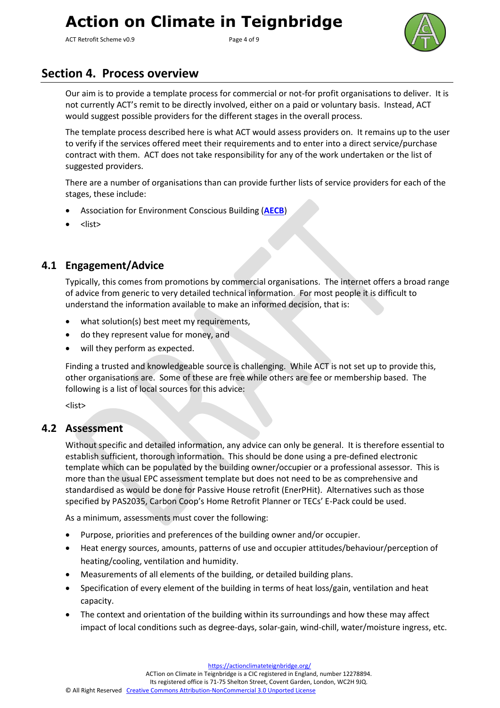ACT Retrofit Scheme v0.9 example 20 and 20 approximate Page 4 of 9



### <span id="page-3-0"></span>**Section 4. Process overview**

Our aim is to provide a template process for commercial or not-for profit organisations to deliver. It is not currently ACT's remit to be directly involved, either on a paid or voluntary basis. Instead, ACT would suggest possible providers for the different stages in the overall process.

The template process described here is what ACT would assess providers on. It remains up to the user to verify if the services offered meet their requirements and to enter into a direct service/purchase contract with them. ACT does not take responsibility for any of the work undertaken or the list of suggested providers.

There are a number of organisations than can provide further lists of service providers for each of the stages, these include:

- Association for Environment Conscious Building (**[AECB](https://www.aecb.net/)**)
- <list>

### <span id="page-3-1"></span>**4.1 Engagement/Advice**

Typically, this comes from promotions by commercial organisations. The internet offers a broad range of advice from generic to very detailed technical information. For most people it is difficult to understand the information available to make an informed decision, that is:

- what solution(s) best meet my requirements,
- do they represent value for money, and
- will they perform as expected.

Finding a trusted and knowledgeable source is challenging. While ACT is not set up to provide this, other organisations are. Some of these are free while others are fee or membership based. The following is a list of local sources for this advice:

<list>

#### <span id="page-3-2"></span>**4.2 Assessment**

Without specific and detailed information, any advice can only be general. It is therefore essential to establish sufficient, thorough information. This should be done using a pre-defined electronic template which can be populated by the building owner/occupier or a professional assessor. This is more than the usual EPC assessment template but does not need to be as comprehensive and standardised as would be done for Passive House retrofit (EnerPHit). Alternatives such as those specified by PAS2035, Carbon Coop's Home Retrofit Planner or TECs' E-Pack could be used.

As a minimum, assessments must cover the following:

- Purpose, priorities and preferences of the building owner and/or occupier.
- Heat energy sources, amounts, patterns of use and occupier attitudes/behaviour/perception of heating/cooling, ventilation and humidity.
- Measurements of all elements of the building, or detailed building plans.
- Specification of every element of the building in terms of heat loss/gain, ventilation and heat capacity.
- The context and orientation of the building within its surroundings and how these may affect impact of local conditions such as degree-days, solar-gain, wind-chill, water/moisture ingress, etc.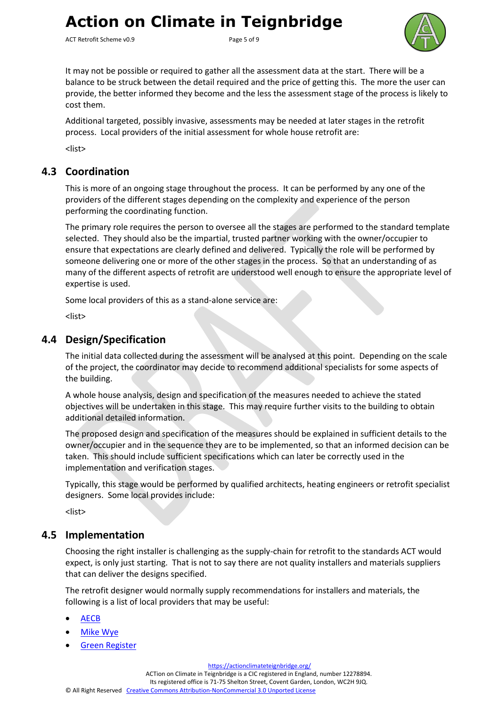ACT Retrofit Scheme v0.9 Page 5 of 9



It may not be possible or required to gather all the assessment data at the start. There will be a balance to be struck between the detail required and the price of getting this. The more the user can provide, the better informed they become and the less the assessment stage of the process is likely to cost them.

Additional targeted, possibly invasive, assessments may be needed at later stages in the retrofit process. Local providers of the initial assessment for whole house retrofit are:

<list>

#### <span id="page-4-0"></span>**4.3 Coordination**

This is more of an ongoing stage throughout the process. It can be performed by any one of the providers of the different stages depending on the complexity and experience of the person performing the coordinating function.

The primary role requires the person to oversee all the stages are performed to the standard template selected. They should also be the impartial, trusted partner working with the owner/occupier to ensure that expectations are clearly defined and delivered. Typically the role will be performed by someone delivering one or more of the other stages in the process. So that an understanding of as many of the different aspects of retrofit are understood well enough to ensure the appropriate level of expertise is used.

Some local providers of this as a stand-alone service are:

<list>

#### <span id="page-4-1"></span>**4.4 Design/Specification**

The initial data collected during the assessment will be analysed at this point. Depending on the scale of the project, the coordinator may decide to recommend additional specialists for some aspects of the building.

A whole house analysis, design and specification of the measures needed to achieve the stated objectives will be undertaken in this stage. This may require further visits to the building to obtain additional detailed information.

The proposed design and specification of the measures should be explained in sufficient details to the owner/occupier and in the sequence they are to be implemented, so that an informed decision can be taken. This should include sufficient specifications which can later be correctly used in the implementation and verification stages.

Typically, this stage would be performed by qualified architects, heating engineers or retrofit specialist designers. Some local provides include:

<list>

#### <span id="page-4-2"></span>**4.5 Implementation**

Choosing the right installer is challenging as the supply-chain for retrofit to the standards ACT would expect, is only just starting. That is not to say there are not quality installers and materials suppliers that can deliver the designs specified.

The retrofit designer would normally supply recommendations for installers and materials, the following is a list of local providers that may be useful:

- [AECB](https://www.aecb.net/)
- **[Mike Wye](https://www.mikewye.co.uk/)**
- [Green Register](https://www.greenregister.org.uk/)

<https://actionclimateteignbridge.org/>

ACTion on Climate in Teignbridge is a CIC registered in England, number 12278894.

Its registered office is 71-75 Shelton Street, Covent Garden, London, WC2H 9JQ.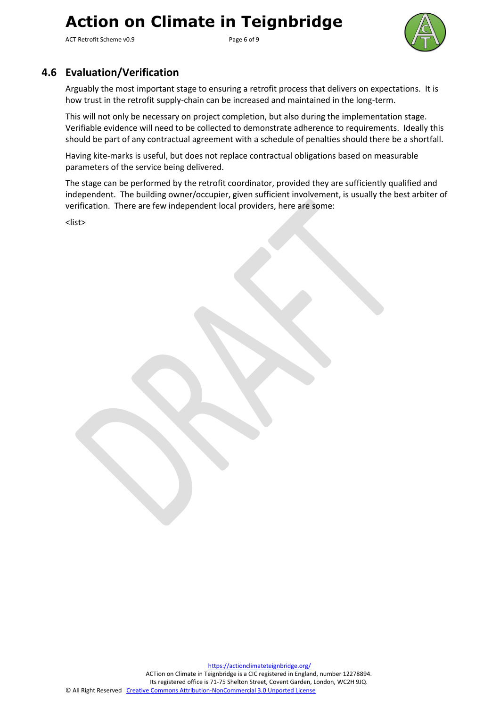ACT Retrofit Scheme v0.9 example 2014 and 2015 Page 6 of 9



### <span id="page-5-0"></span>**4.6 Evaluation/Verification**

Arguably the most important stage to ensuring a retrofit process that delivers on expectations. It is how trust in the retrofit supply-chain can be increased and maintained in the long-term.

This will not only be necessary on project completion, but also during the implementation stage. Verifiable evidence will need to be collected to demonstrate adherence to requirements. Ideally this should be part of any contractual agreement with a schedule of penalties should there be a shortfall.

Having kite-marks is useful, but does not replace contractual obligations based on measurable parameters of the service being delivered.

The stage can be performed by the retrofit coordinator, provided they are sufficiently qualified and independent. The building owner/occupier, given sufficient involvement, is usually the best arbiter of verification. There are few independent local providers, here are some:

<list>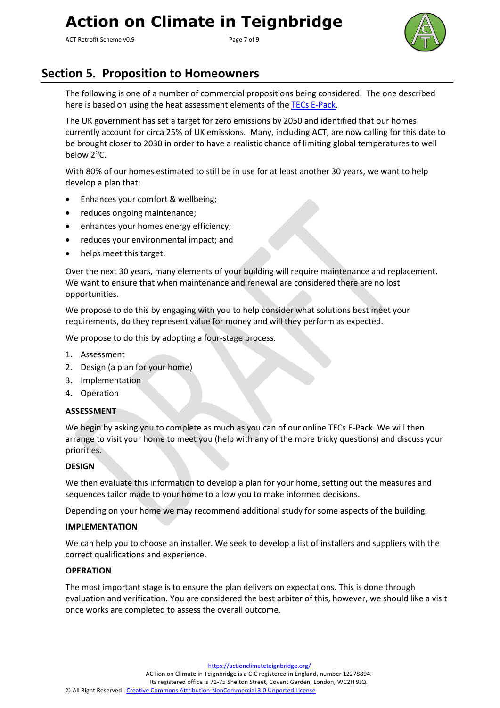ACT Retrofit Scheme v0.9 Page 7 of 9



## <span id="page-6-0"></span>**Section 5. Proposition to Homeowners**

The following is one of a number of commercial propositions being considered. The one described here is based on using the heat assessment elements of the [TECs E-Pack.](http://teignenergycommunities.co.uk/wp-content/uploads/2020/09/TECs-Energy-Assesment-Introduction-v1.9.pdf)

The UK government has set a target for zero emissions by 2050 and identified that our homes currently account for circa 25% of UK emissions. Many, including ACT, are now calling for this date to be brought closer to 2030 in order to have a realistic chance of limiting global temperatures to well below 2<sup>o</sup>C.

With 80% of our homes estimated to still be in use for at least another 30 years, we want to help develop a plan that:

- Enhances your comfort & wellbeing;
- reduces ongoing maintenance;
- enhances your homes energy efficiency;
- reduces your environmental impact; and
- helps meet this target.

Over the next 30 years, many elements of your building will require maintenance and replacement. We want to ensure that when maintenance and renewal are considered there are no lost opportunities.

We propose to do this by engaging with you to help consider what solutions best meet your requirements, do they represent value for money and will they perform as expected.

We propose to do this by adopting a four-stage process.

- 1. Assessment
- 2. Design (a plan for your home)
- 3. Implementation
- 4. Operation

#### **ASSESSMENT**

We begin by asking you to complete as much as you can of our online TECs E-Pack. We will then arrange to visit your home to meet you (help with any of the more tricky questions) and discuss your priorities.

#### **DESIGN**

We then evaluate this information to develop a plan for your home, setting out the measures and sequences tailor made to your home to allow you to make informed decisions.

Depending on your home we may recommend additional study for some aspects of the building.

#### **IMPLEMENTATION**

We can help you to choose an installer. We seek to develop a list of installers and suppliers with the correct qualifications and experience.

#### **OPERATION**

The most important stage is to ensure the plan delivers on expectations. This is done through evaluation and verification. You are considered the best arbiter of this, however, we should like a visit once works are completed to assess the overall outcome.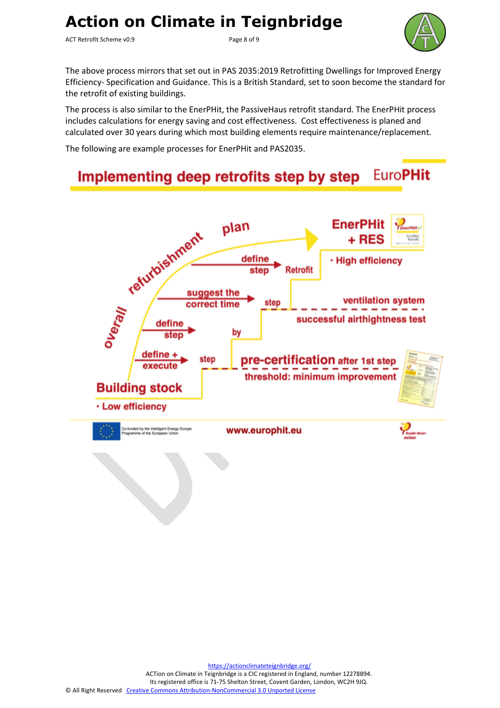ACT Retrofit Scheme v0.9 example 2 and 2 and 2 and 2 and 2 and 2 and 2 and 2 and 2 and 2 and 2 and 2 and 2 and 2 and 2 and 2 and 2 and 2 and 2 and 2 and 2 and 2 and 2 and 2 and 2 and 2 and 2 and 2 and 2 and 2 and 2 and 2 a



The above process mirrors that set out in PAS 2035:2019 Retrofitting Dwellings for Improved Energy Efficiency- Specification and Guidance. This is a British Standard, set to soon become the standard for the retrofit of existing buildings.

The process is also similar to the EnerPHit, the PassiveHaus retrofit standard. The EnerPHit process includes calculations for energy saving and cost effectiveness. Cost effectiveness is planed and calculated over 30 years during which most building elements require maintenance/replacement.

The following are example processes for EnerPHit and PAS2035.

#### **EuroPHit** Implementing deep retrofits step by step